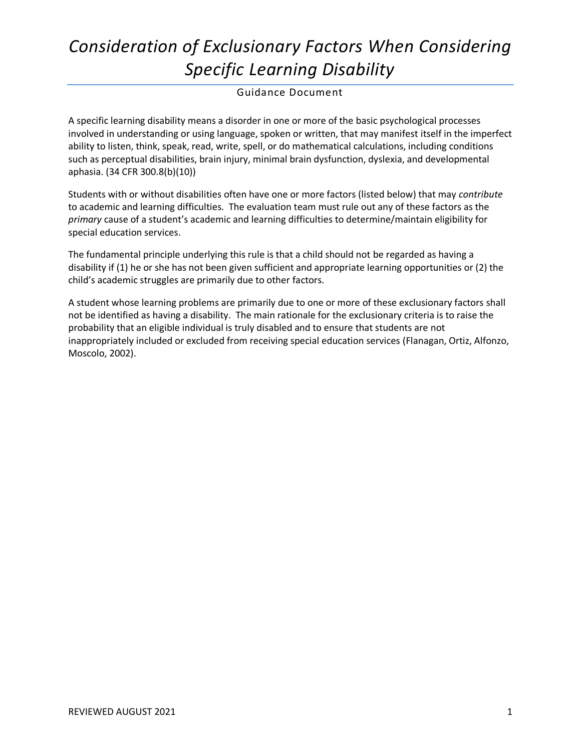#### Guidance Document

A specific learning disability means a disorder in one or more of the basic psychological processes involved in understanding or using language, spoken or written, that may manifest itself in the imperfect ability to listen, think, speak, read, write, spell, or do mathematical calculations, including conditions such as perceptual disabilities, brain injury, minimal brain dysfunction, dyslexia, and developmental aphasia. (34 CFR 300.8(b)(10))

Students with or without disabilities often have one or more factors (listed below) that may *contribute* to academic and learning difficulties. The evaluation team must rule out any of these factors as the *primary* cause of a student's academic and learning difficulties to determine/maintain eligibility for special education services.

The fundamental principle underlying this rule is that a child should not be regarded as having a disability if (1) he or she has not been given sufficient and appropriate learning opportunities or (2) the child's academic struggles are primarily due to other factors.

A student whose learning problems are primarily due to one or more of these exclusionary factors shall not be identified as having a disability. The main rationale for the exclusionary criteria is to raise the probability that an eligible individual is truly disabled and to ensure that students are not inappropriately included or excluded from receiving special education services (Flanagan, Ortiz, Alfonzo, Moscolo, 2002).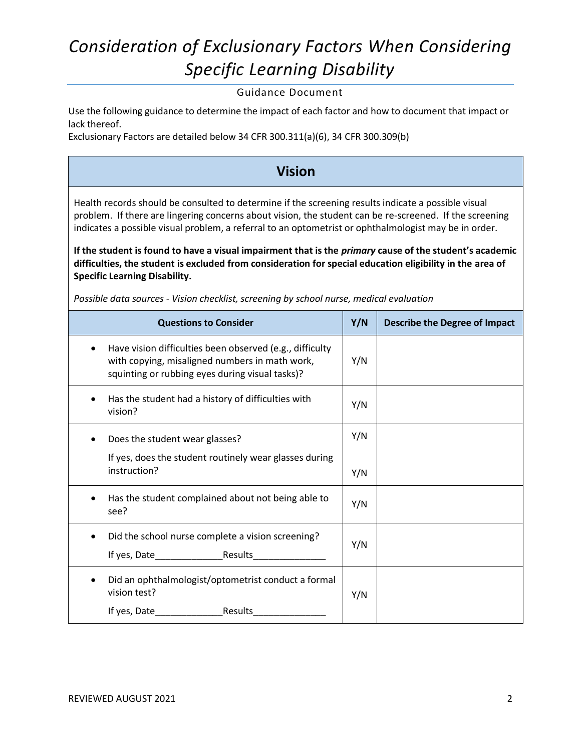Guidance Document

Use the following guidance to determine the impact of each factor and how to document that impact or lack thereof.

Exclusionary Factors are detailed below 34 CFR 300.311(a)(6), 34 CFR 300.309(b)

#### **Vision**

Health records should be consulted to determine if the screening results indicate a possible visual problem. If there are lingering concerns about vision, the student can be re-screened. If the screening indicates a possible visual problem, a referral to an optometrist or ophthalmologist may be in order.

**If the student is found to have a visual impairment that is the** *primary* **cause of the student's academic difficulties, the student is excluded from consideration for special education eligibility in the area of Specific Learning Disability.** 

| <b>Questions to Consider</b>                                                                                                                                       | Y/N | <b>Describe the Degree of Impact</b> |
|--------------------------------------------------------------------------------------------------------------------------------------------------------------------|-----|--------------------------------------|
| Have vision difficulties been observed (e.g., difficulty<br>٠<br>with copying, misaligned numbers in math work,<br>squinting or rubbing eyes during visual tasks)? | Y/N |                                      |
| Has the student had a history of difficulties with<br>٠<br>vision?                                                                                                 | Y/N |                                      |
| Does the student wear glasses?                                                                                                                                     | Y/N |                                      |
| If yes, does the student routinely wear glasses during<br>instruction?                                                                                             | Y/N |                                      |
| Has the student complained about not being able to<br>see?                                                                                                         | Y/N |                                      |
| Did the school nurse complete a vision screening?<br>If yes, Date Results                                                                                          | Y/N |                                      |
| Did an ophthalmologist/optometrist conduct a formal<br>vision test?                                                                                                | Y/N |                                      |
|                                                                                                                                                                    |     |                                      |

*Possible data sources - Vision checklist, screening by school nurse, medical evaluation*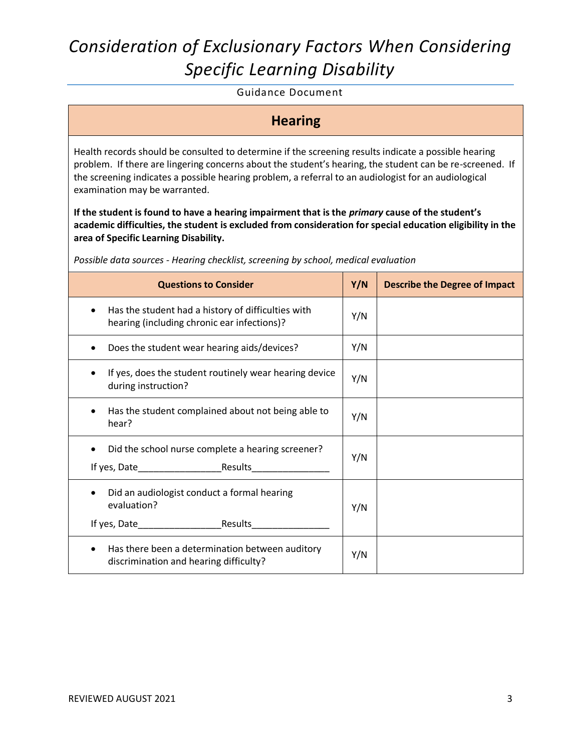Guidance Document

**Hearing**

Health records should be consulted to determine if the screening results indicate a possible hearing problem. If there are lingering concerns about the student's hearing, the student can be re-screened. If the screening indicates a possible hearing problem, a referral to an audiologist for an audiological examination may be warranted.

**If the student is found to have a hearing impairment that is the** *primary* **cause of the student's academic difficulties, the student is excluded from consideration for special education eligibility in the area of Specific Learning Disability.** 

*Possible data sources - Hearing checklist, screening by school, medical evaluation*

| <b>Questions to Consider</b>                                                                      | Y/N | <b>Describe the Degree of Impact</b> |
|---------------------------------------------------------------------------------------------------|-----|--------------------------------------|
| Has the student had a history of difficulties with<br>hearing (including chronic ear infections)? | Y/N |                                      |
| Does the student wear hearing aids/devices?                                                       | Y/N |                                      |
| If yes, does the student routinely wear hearing device<br>during instruction?                     | Y/N |                                      |
| Has the student complained about not being able to<br>hear?                                       | Y/N |                                      |
| Did the school nurse complete a hearing screener?                                                 | Y/N |                                      |
| Did an audiologist conduct a formal hearing<br>evaluation?<br>If yes, Date Results                | Y/N |                                      |
| Has there been a determination between auditory<br>discrimination and hearing difficulty?         | Y/N |                                      |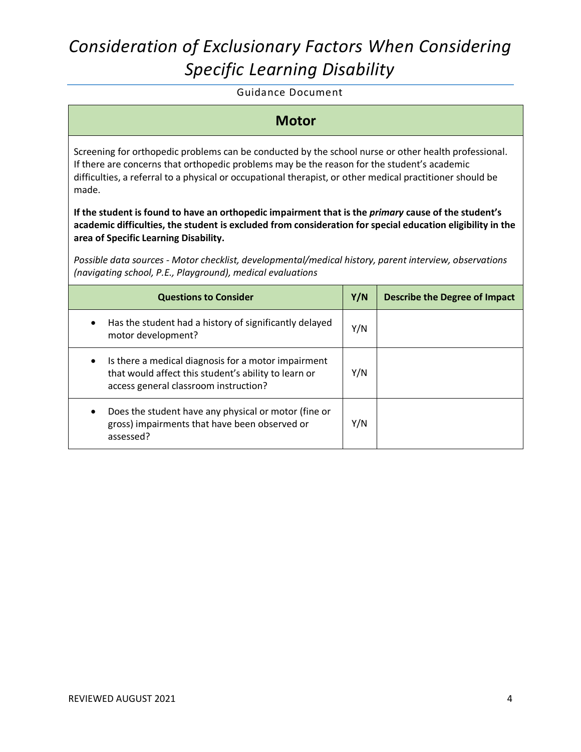Guidance Document

#### **Motor**

Screening for orthopedic problems can be conducted by the school nurse or other health professional. If there are concerns that orthopedic problems may be the reason for the student's academic difficulties, a referral to a physical or occupational therapist, or other medical practitioner should be made.

**If the student is found to have an orthopedic impairment that is the** *primary* **cause of the student's academic difficulties, the student is excluded from consideration for special education eligibility in the area of Specific Learning Disability.** 

*Possible data sources - Motor checklist, developmental/medical history, parent interview, observations (navigating school, P.E., Playground), medical evaluations*

| <b>Questions to Consider</b>                                                                                                                         | Y/N | <b>Describe the Degree of Impact</b> |
|------------------------------------------------------------------------------------------------------------------------------------------------------|-----|--------------------------------------|
| Has the student had a history of significantly delayed<br>motor development?                                                                         | Y/N |                                      |
| Is there a medical diagnosis for a motor impairment<br>that would affect this student's ability to learn or<br>access general classroom instruction? | Y/N |                                      |
| Does the student have any physical or motor (fine or<br>gross) impairments that have been observed or<br>assessed?                                   | Y/N |                                      |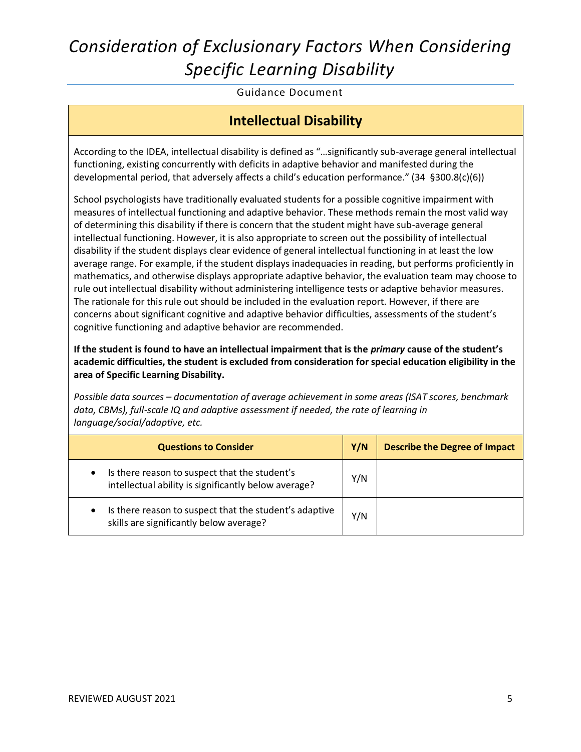Guidance Document

#### **Intellectual Disability**

According to the IDEA, intellectual disability is defined as "…significantly sub-average general intellectual functioning, existing concurrently with deficits in adaptive behavior and manifested during the developmental period, that adversely affects a child's education performance." (34 §300.8(c)(6))

School psychologists have traditionally evaluated students for a possible cognitive impairment with measures of intellectual functioning and adaptive behavior. These methods remain the most valid way of determining this disability if there is concern that the student might have sub-average general intellectual functioning. However, it is also appropriate to screen out the possibility of intellectual disability if the student displays clear evidence of general intellectual functioning in at least the low average range. For example, if the student displays inadequacies in reading, but performs proficiently in mathematics, and otherwise displays appropriate adaptive behavior, the evaluation team may choose to rule out intellectual disability without administering intelligence tests or adaptive behavior measures. The rationale for this rule out should be included in the evaluation report. However, if there are concerns about significant cognitive and adaptive behavior difficulties, assessments of the student's cognitive functioning and adaptive behavior are recommended.

**If the student is found to have an intellectual impairment that is the** *primary* **cause of the student's academic difficulties, the student is excluded from consideration for special education eligibility in the area of Specific Learning Disability.** 

*Possible data sources – documentation of average achievement in some areas (ISAT scores, benchmark data, CBMs), full-scale IQ and adaptive assessment if needed, the rate of learning in language/social/adaptive, etc.*

| <b>Questions to Consider</b>                                                                                       | Y/N | <b>Describe the Degree of Impact</b> |
|--------------------------------------------------------------------------------------------------------------------|-----|--------------------------------------|
| Is there reason to suspect that the student's<br>$\bullet$<br>intellectual ability is significantly below average? | Y/N |                                      |
| Is there reason to suspect that the student's adaptive<br>$\bullet$<br>skills are significantly below average?     | Y/N |                                      |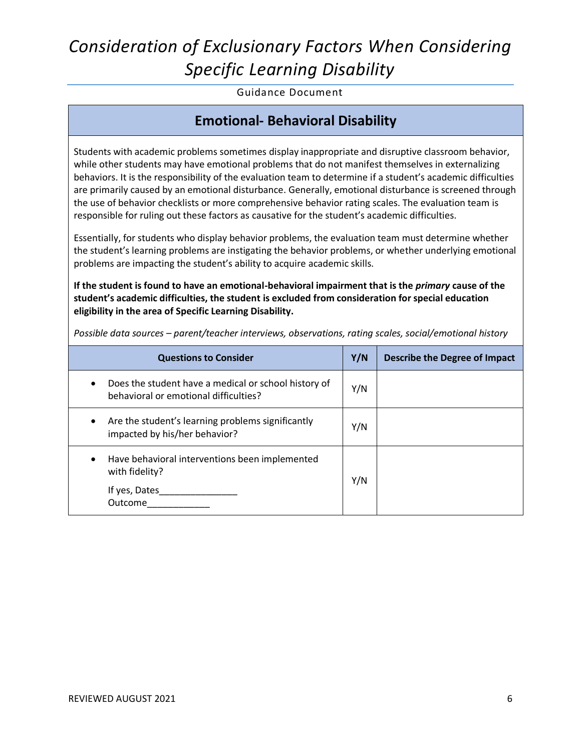Guidance Document

#### **Emotional- Behavioral Disability**

Students with academic problems sometimes display inappropriate and disruptive classroom behavior, while other students may have emotional problems that do not manifest themselves in externalizing behaviors. It is the responsibility of the evaluation team to determine if a student's academic difficulties are primarily caused by an emotional disturbance. Generally, emotional disturbance is screened through the use of behavior checklists or more comprehensive behavior rating scales. The evaluation team is responsible for ruling out these factors as causative for the student's academic difficulties.

Essentially, for students who display behavior problems, the evaluation team must determine whether the student's learning problems are instigating the behavior problems, or whether underlying emotional problems are impacting the student's ability to acquire academic skills.

**If the student is found to have an emotional-behavioral impairment that is the** *primary* **cause of the student's academic difficulties, the student is excluded from consideration for special education eligibility in the area of Specific Learning Disability.** 

| <b>Questions to Consider</b>                                                                  | Y/N | <b>Describe the Degree of Impact</b> |
|-----------------------------------------------------------------------------------------------|-----|--------------------------------------|
| Does the student have a medical or school history of<br>behavioral or emotional difficulties? | Y/N |                                      |
| Are the student's learning problems significantly<br>٠<br>impacted by his/her behavior?       | Y/N |                                      |
| Have behavioral interventions been implemented<br>with fidelity?<br>If yes, Dates<br>Outcome  | Y/N |                                      |

*Possible data sources – parent/teacher interviews, observations, rating scales, social/emotional history*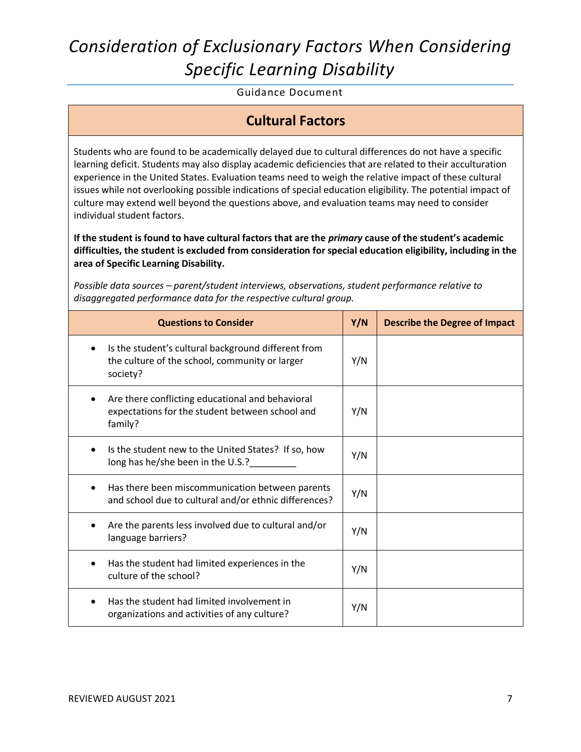Guidance Document

#### **Cultural Factors**

Students who are found to be academically delayed due to cultural differences do not have a specific learning deficit. Students may also display academic deficiencies that are related to their acculturation experience in the United States. Evaluation teams need to weigh the relative impact of these cultural issues while not overlooking possible indications of special education eligibility. The potential impact of culture may extend well beyond the questions above, and evaluation teams may need to consider individual student factors.

**If the student is found to have cultural factors that are the** *primary* **cause of the student's academic difficulties, the student is excluded from consideration for special education eligibility, including in the area of Specific Learning Disability.** 

*Possible data sources – parent/student interviews, observations, student performance relative to disaggregated performance data for the respective cultural group.*

| <b>Questions to Consider</b>                                                                                      | Y/N | <b>Describe the Degree of Impact</b> |
|-------------------------------------------------------------------------------------------------------------------|-----|--------------------------------------|
| Is the student's cultural background different from<br>the culture of the school, community or larger<br>society? | Y/N |                                      |
| Are there conflicting educational and behavioral<br>expectations for the student between school and<br>family?    | Y/N |                                      |
| Is the student new to the United States? If so, how<br>long has he/she been in the U.S.?                          | Y/N |                                      |
| Has there been miscommunication between parents<br>and school due to cultural and/or ethnic differences?          | Y/N |                                      |
| Are the parents less involved due to cultural and/or<br>language barriers?                                        | Y/N |                                      |
| Has the student had limited experiences in the<br>culture of the school?                                          | Y/N |                                      |
| Has the student had limited involvement in<br>organizations and activities of any culture?                        | Y/N |                                      |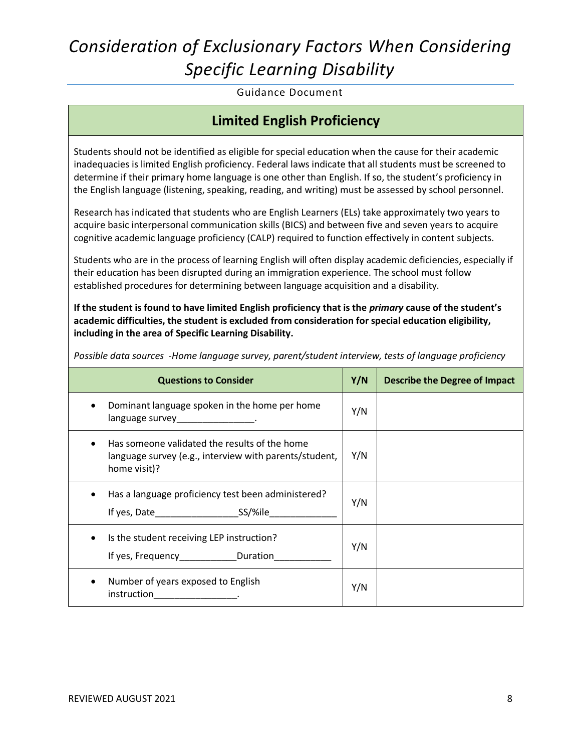Guidance Document

#### **Limited English Proficiency**

Students should not be identified as eligible for special education when the cause for their academic inadequacies is limited English proficiency. Federal laws indicate that all students must be screened to determine if their primary home language is one other than English. If so, the student's proficiency in the English language (listening, speaking, reading, and writing) must be assessed by school personnel.

Research has indicated that students who are English Learners (ELs) take approximately two years to acquire basic interpersonal communication skills (BICS) and between five and seven years to acquire cognitive academic language proficiency (CALP) required to function effectively in content subjects.

Students who are in the process of learning English will often display academic deficiencies, especially if their education has been disrupted during an immigration experience. The school must follow established procedures for determining between language acquisition and a disability.

**If the student is found to have limited English proficiency that is the** *primary* **cause of the student's academic difficulties, the student is excluded from consideration for special education eligibility, including in the area of Specific Learning Disability.** 

| <b>Questions to Consider</b>                                                                                            | Y/N | <b>Describe the Degree of Impact</b> |
|-------------------------------------------------------------------------------------------------------------------------|-----|--------------------------------------|
| Dominant language spoken in the home per home<br>language survey_________________.                                      | Y/N |                                      |
| Has someone validated the results of the home<br>language survey (e.g., interview with parents/student,<br>home visit)? | Y/N |                                      |
| Has a language proficiency test been administered?<br>If yes, Date SS/%ile                                              | Y/N |                                      |
| Is the student receiving LEP instruction?<br>If yes, Frequency <b>Duration</b>                                          | Y/N |                                      |
| Number of years exposed to English<br>instruction<br>the contract of the contract of the                                | Y/N |                                      |

*Possible data sources -Home language survey, parent/student interview, tests of language proficiency*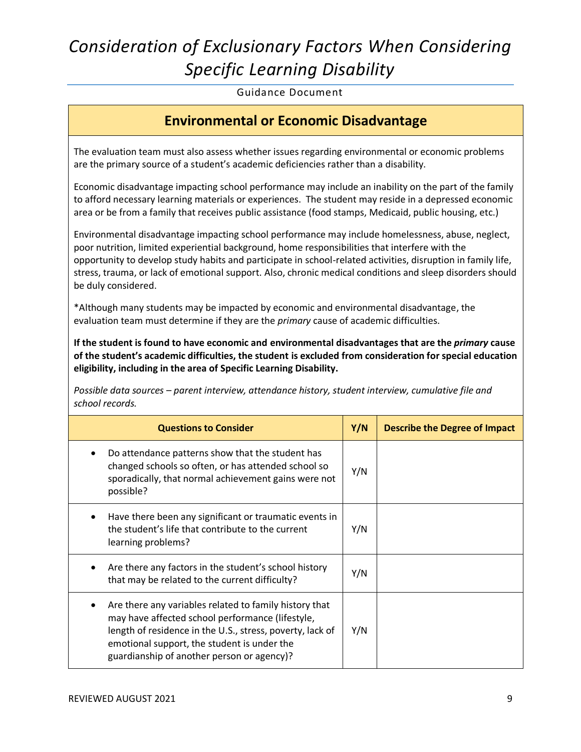Guidance Document

#### **Environmental or Economic Disadvantage**

The evaluation team must also assess whether issues regarding environmental or economic problems are the primary source of a student's academic deficiencies rather than a disability.

Economic disadvantage impacting school performance may include an inability on the part of the family to afford necessary learning materials or experiences. The student may reside in a depressed economic area or be from a family that receives public assistance (food stamps, Medicaid, public housing, etc.)

Environmental disadvantage impacting school performance may include homelessness, abuse, neglect, poor nutrition, limited experiential background, home responsibilities that interfere with the opportunity to develop study habits and participate in school-related activities, disruption in family life, stress, trauma, or lack of emotional support. Also, chronic medical conditions and sleep disorders should be duly considered.

\*Although many students may be impacted by economic and environmental disadvantage, the evaluation team must determine if they are the *primary* cause of academic difficulties.

**If the student is found to have economic and environmental disadvantages that are the** *primary* **cause of the student's academic difficulties, the student is excluded from consideration for special education eligibility, including in the area of Specific Learning Disability.** 

*Possible data sources – parent interview, attendance history, student interview, cumulative file and school records.*

| <b>Questions to Consider</b>                                                                                                                                                                                                                                         | Y/N | <b>Describe the Degree of Impact</b> |
|----------------------------------------------------------------------------------------------------------------------------------------------------------------------------------------------------------------------------------------------------------------------|-----|--------------------------------------|
| Do attendance patterns show that the student has<br>changed schools so often, or has attended school so<br>sporadically, that normal achievement gains were not<br>possible?                                                                                         | Y/N |                                      |
| Have there been any significant or traumatic events in<br>the student's life that contribute to the current<br>learning problems?                                                                                                                                    | Y/N |                                      |
| Are there any factors in the student's school history<br>that may be related to the current difficulty?                                                                                                                                                              | Y/N |                                      |
| Are there any variables related to family history that<br>may have affected school performance (lifestyle,<br>length of residence in the U.S., stress, poverty, lack of<br>emotional support, the student is under the<br>guardianship of another person or agency)? | Y/N |                                      |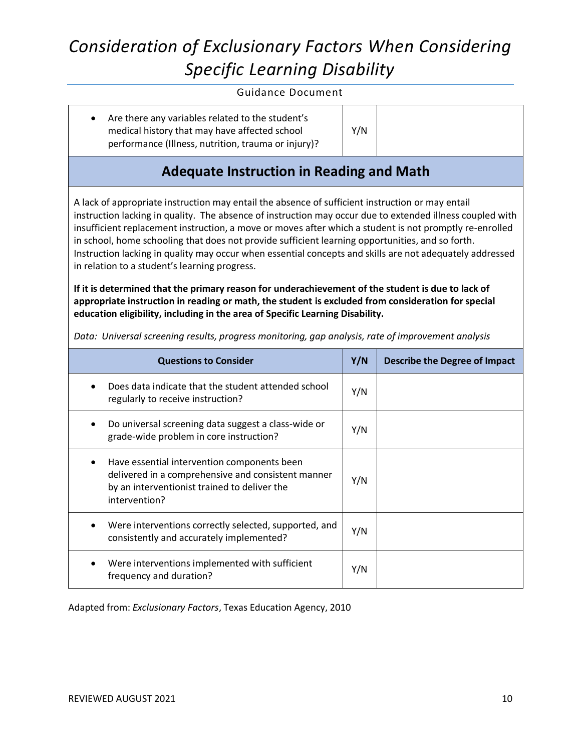#### Guidance Document

 Are there any variables related to the student's medical history that may have affected school performance (Illness, nutrition, trauma or injury)?

### **Adequate Instruction in Reading and Math**

Y/N

A lack of appropriate instruction may entail the absence of sufficient instruction or may entail instruction lacking in quality. The absence of instruction may occur due to extended illness coupled with insufficient replacement instruction, a move or moves after which a student is not promptly re-enrolled in school, home schooling that does not provide sufficient learning opportunities, and so forth. Instruction lacking in quality may occur when essential concepts and skills are not adequately addressed in relation to a student's learning progress.

**If it is determined that the primary reason for underachievement of the student is due to lack of appropriate instruction in reading or math, the student is excluded from consideration for special education eligibility, including in the area of Specific Learning Disability.** 

| <b>Questions to Consider</b>                                                                                                                                       | Y/N | Describe the Degree of Impact |
|--------------------------------------------------------------------------------------------------------------------------------------------------------------------|-----|-------------------------------|
| Does data indicate that the student attended school<br>regularly to receive instruction?                                                                           | Y/N |                               |
| Do universal screening data suggest a class-wide or<br>grade-wide problem in core instruction?                                                                     | Y/N |                               |
| Have essential intervention components been<br>delivered in a comprehensive and consistent manner<br>by an interventionist trained to deliver the<br>intervention? | Y/N |                               |
| Were interventions correctly selected, supported, and<br>consistently and accurately implemented?                                                                  | Y/N |                               |
| Were interventions implemented with sufficient<br>frequency and duration?                                                                                          | Y/N |                               |

*Data: Universal screening results, progress monitoring, gap analysis, rate of improvement analysis*

Adapted from: *Exclusionary Factors*, Texas Education Agency, 2010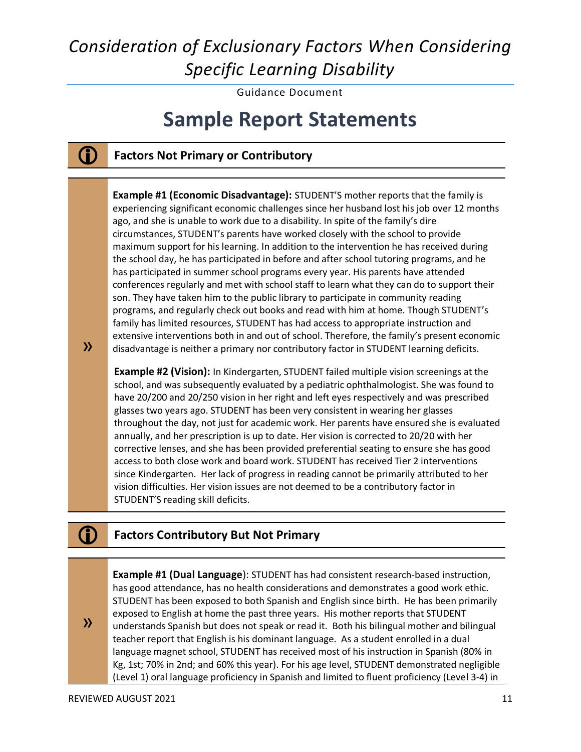Guidance Document

# **Sample Report Statements**

### **Factors Not Primary or Contributory**

**Example #1 (Economic Disadvantage):** STUDENT'S mother reports that the family is experiencing significant economic challenges since her husband lost his job over 12 months ago, and she is unable to work due to a disability. In spite of the family's dire circumstances, STUDENT's parents have worked closely with the school to provide maximum support for his learning. In addition to the intervention he has received during the school day, he has participated in before and after school tutoring programs, and he has participated in summer school programs every year. His parents have attended conferences regularly and met with school staff to learn what they can do to support their son. They have taken him to the public library to participate in community reading programs, and regularly check out books and read with him at home. Though STUDENT's family has limited resources, STUDENT has had access to appropriate instruction and extensive interventions both in and out of school. Therefore, the family's present economic disadvantage is neither a primary nor contributory factor in STUDENT learning deficits.

**Example #2 (Vision):** In Kindergarten, STUDENT failed multiple vision screenings at the school, and was subsequently evaluated by a pediatric ophthalmologist. She was found to have 20/200 and 20/250 vision in her right and left eyes respectively and was prescribed glasses two years ago. STUDENT has been very consistent in wearing her glasses throughout the day, not just for academic work. Her parents have ensured she is evaluated annually, and her prescription is up to date. Her vision is corrected to 20/20 with her corrective lenses, and she has been provided preferential seating to ensure she has good access to both close work and board work. STUDENT has received Tier 2 interventions since Kindergarten. Her lack of progress in reading cannot be primarily attributed to her vision difficulties. Her vision issues are not deemed to be a contributory factor in STUDENT'S reading skill deficits.

#### **Factors Contributory But Not Primary**

**Example #1 (Dual Language**): STUDENT has had consistent research-based instruction, has good attendance, has no health considerations and demonstrates a good work ethic. STUDENT has been exposed to both Spanish and English since birth. He has been primarily exposed to English at home the past three years. His mother reports that STUDENT understands Spanish but does not speak or read it. Both his bilingual mother and bilingual teacher report that English is his dominant language. As a student enrolled in a dual language magnet school, STUDENT has received most of his instruction in Spanish (80% in Kg, 1st; 70% in 2nd; and 60% this year). For his age level, STUDENT demonstrated negligible (Level 1) oral language proficiency in Spanish and limited to fluent proficiency (Level 3-4) in

»

»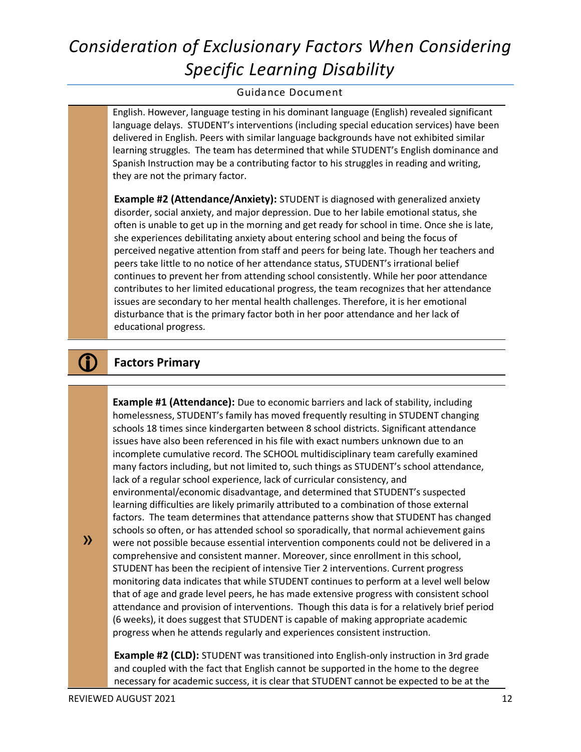#### Guidance Document

English. However, language testing in his dominant language (English) revealed significant language delays. STUDENT's interventions (including special education services) have been delivered in English. Peers with similar language backgrounds have not exhibited similar learning struggles. The team has determined that while STUDENT's English dominance and Spanish Instruction may be a contributing factor to his struggles in reading and writing, they are not the primary factor.

**Example #2 (Attendance/Anxiety):** STUDENT is diagnosed with generalized anxiety disorder, social anxiety, and major depression. Due to her labile emotional status, she often is unable to get up in the morning and get ready for school in time. Once she is late, she experiences debilitating anxiety about entering school and being the focus of perceived negative attention from staff and peers for being late. Though her teachers and peers take little to no notice of her attendance status, STUDENT's irrational belief continues to prevent her from attending school consistently. While her poor attendance contributes to her limited educational progress, the team recognizes that her attendance issues are secondary to her mental health challenges. Therefore, it is her emotional disturbance that is the primary factor both in her poor attendance and her lack of educational progress.

#### **Factors Primary**

**Example #1 (Attendance):** Due to economic barriers and lack of stability, including homelessness, STUDENT's family has moved frequently resulting in STUDENT changing schools 18 times since kindergarten between 8 school districts. Significant attendance issues have also been referenced in his file with exact numbers unknown due to an incomplete cumulative record. The SCHOOL multidisciplinary team carefully examined many factors including, but not limited to, such things as STUDENT's school attendance, lack of a regular school experience, lack of curricular consistency, and environmental/economic disadvantage, and determined that STUDENT's suspected learning difficulties are likely primarily attributed to a combination of those external factors. The team determines that attendance patterns show that STUDENT has changed schools so often, or has attended school so sporadically, that normal achievement gains were not possible because essential intervention components could not be delivered in a comprehensive and consistent manner. Moreover, since enrollment in this school, STUDENT has been the recipient of intensive Tier 2 interventions. Current progress monitoring data indicates that while STUDENT continues to perform at a level well below that of age and grade level peers, he has made extensive progress with consistent school attendance and provision of interventions. Though this data is for a relatively brief period (6 weeks), it does suggest that STUDENT is capable of making appropriate academic progress when he attends regularly and experiences consistent instruction.

**Example #2 (CLD):** STUDENT was transitioned into English-only instruction in 3rd grade and coupled with the fact that English cannot be supported in the home to the degree necessary for academic success, it is clear that STUDENT cannot be expected to be at the

»